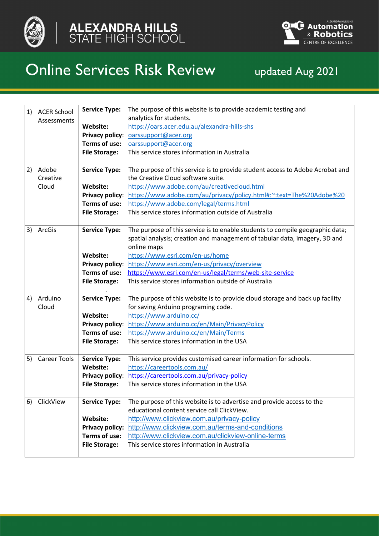



## Online Services Risk Review updated Aug 2021

| 1) | <b>ACER School</b><br>Assessments | <b>Service Type:</b><br>Website:        | The purpose of this website is to provide academic testing and<br>analytics for students.                       |
|----|-----------------------------------|-----------------------------------------|-----------------------------------------------------------------------------------------------------------------|
|    |                                   |                                         | https://oars.acer.edu.au/alexandra-hills-shs                                                                    |
|    |                                   | <b>Privacy policy:</b><br>Terms of use: | oarssupport@acer.org<br>oarssupport@acer.org                                                                    |
|    |                                   | <b>File Storage:</b>                    | This service stores information in Australia                                                                    |
|    |                                   |                                         |                                                                                                                 |
| 2) | Adobe                             | <b>Service Type:</b>                    | The purpose of this service is to provide student access to Adobe Acrobat and                                   |
|    | Creative                          |                                         | the Creative Cloud software suite.                                                                              |
|    | Cloud                             | Website:                                | https://www.adobe.com/au/creativecloud.html                                                                     |
|    |                                   | <b>Privacy policy:</b>                  | https://www.adobe.com/au/privacy/policy.html#:~:text=The%20Adobe%20                                             |
|    |                                   | Terms of use:                           | https://www.adobe.com/legal/terms.html                                                                          |
|    |                                   | <b>File Storage:</b>                    | This service stores information outside of Australia                                                            |
|    |                                   |                                         |                                                                                                                 |
| 3) | ArcGis                            | <b>Service Type:</b>                    | The purpose of this service is to enable students to compile geographic data;                                   |
|    |                                   |                                         | spatial analysis; creation and management of tabular data, imagery, 3D and                                      |
|    |                                   | Website:                                | online maps                                                                                                     |
|    |                                   |                                         | https://www.esri.com/en-us/home<br>https://www.esri.com/en-us/privacy/overview                                  |
|    |                                   | <b>Privacy policy:</b><br>Terms of use: |                                                                                                                 |
|    |                                   |                                         | https://www.esri.com/en-us/legal/terms/web-site-service<br>This service stores information outside of Australia |
|    |                                   | <b>File Storage:</b>                    |                                                                                                                 |
| 4) | Arduino                           | <b>Service Type:</b>                    | The purpose of this website is to provide cloud storage and back up facility                                    |
|    | Cloud                             |                                         | for saving Arduino programing code.                                                                             |
|    |                                   | Website:                                | https://www.arduino.cc/                                                                                         |
|    |                                   | <b>Privacy policy:</b>                  | https://www.arduino.cc/en/Main/PrivacyPolicy                                                                    |
|    |                                   | Terms of use:                           | https://www.arduino.cc/en/Main/Terms                                                                            |
|    |                                   | <b>File Storage:</b>                    | This service stores information in the USA                                                                      |
| 5) | <b>Career Tools</b>               | <b>Service Type:</b>                    | This service provides customised career information for schools.                                                |
|    |                                   | Website:                                | https://careertools.com.au/                                                                                     |
|    |                                   | <b>Privacy policy:</b>                  | https://careertools.com.au/privacy-policy                                                                       |
|    |                                   | <b>File Storage:</b>                    | This service stores information in the USA                                                                      |
|    |                                   |                                         |                                                                                                                 |
| 6) | ClickView                         | <b>Service Type:</b>                    | The purpose of this website is to advertise and provide access to the                                           |
|    |                                   |                                         | educational content service call ClickView.                                                                     |
|    |                                   | Website:                                | http://www.clickview.com.au/privacy-policy                                                                      |
|    |                                   | <b>Privacy policy:</b>                  | http://www.clickview.com.au/terms-and-conditions                                                                |
|    |                                   | Terms of use:                           | http://www.clickview.com.au/clickview-online-terms                                                              |
|    |                                   | <b>File Storage:</b>                    | This service stores information in Australia                                                                    |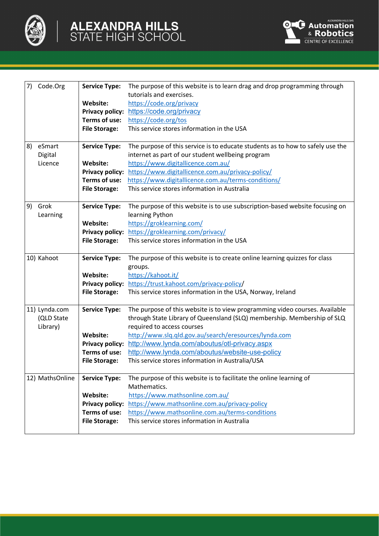

| 7) | Code.Org        | <b>Service Type:</b>   | The purpose of this website is to learn drag and drop programming through<br>tutorials and exercises. |
|----|-----------------|------------------------|-------------------------------------------------------------------------------------------------------|
|    |                 | Website:               | https://code.org/privacy                                                                              |
|    |                 | <b>Privacy policy:</b> | https://code.org/privacy                                                                              |
|    |                 | Terms of use:          | https://code.org/tos                                                                                  |
|    |                 | <b>File Storage:</b>   | This service stores information in the USA                                                            |
|    |                 |                        |                                                                                                       |
| 8) | eSmart          | <b>Service Type:</b>   | The purpose of this service is to educate students as to how to safely use the                        |
|    | Digital         |                        | internet as part of our student wellbeing program                                                     |
|    | Licence         | Website:               | https://www.digitallicence.com.au/                                                                    |
|    |                 | <b>Privacy policy:</b> | https://www.digitallicence.com.au/privacy-policy/                                                     |
|    |                 | Terms of use:          | https://www.digitallicence.com.au/terms-conditions/                                                   |
|    |                 | <b>File Storage:</b>   | This service stores information in Australia                                                          |
|    |                 |                        |                                                                                                       |
| 9) | Grok            | <b>Service Type:</b>   | The purpose of this website is to use subscription-based website focusing on                          |
|    | Learning        |                        | learning Python                                                                                       |
|    |                 | Website:               | https://groklearning.com/                                                                             |
|    |                 | <b>Privacy policy:</b> | https://groklearning.com/privacy/                                                                     |
|    |                 | <b>File Storage:</b>   | This service stores information in the USA                                                            |
|    | 10) Kahoot      | <b>Service Type:</b>   | The purpose of this website is to create online learning quizzes for class                            |
|    |                 |                        | groups.                                                                                               |
|    |                 | Website:               | https://kahoot.it/                                                                                    |
|    |                 | <b>Privacy policy:</b> | https://trust.kahoot.com/privacy-policy/                                                              |
|    |                 | <b>File Storage:</b>   | This service stores information in the USA, Norway, Ireland                                           |
|    | 11) Lynda.com   | <b>Service Type:</b>   | The purpose of this website is to view programming video courses. Available                           |
|    | (QLD State      |                        | through State Library of Queensland (SLQ) membership. Membership of SLQ                               |
|    | Library)        |                        | required to access courses                                                                            |
|    |                 | Website:               | http://www.slq.qld.gov.au/search/eresources/lynda.com                                                 |
|    |                 | <b>Privacy policy:</b> | http://www.lynda.com/aboutus/otl-privacy.aspx                                                         |
|    |                 | Terms of use:          | http://www.lynda.com/aboutus/website-use-policy                                                       |
|    |                 | <b>File Storage:</b>   | This service stores information in Australia/USA                                                      |
|    | 12) MathsOnline | <b>Service Type:</b>   | The purpose of this website is to facilitate the online learning of                                   |
|    |                 |                        | Mathematics.                                                                                          |
|    |                 | Website:               | https://www.mathsonline.com.au/                                                                       |
|    |                 | <b>Privacy policy:</b> | https://www.mathsonline.com.au/privacy-policy                                                         |
|    |                 | Terms of use:          | https://www.mathsonline.com.au/terms-conditions                                                       |
|    |                 | <b>File Storage:</b>   | This service stores information in Australia                                                          |
|    |                 |                        |                                                                                                       |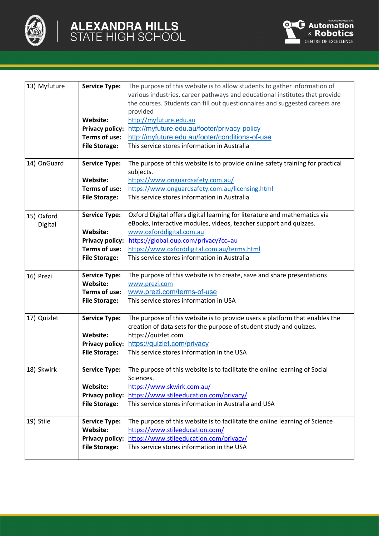

| 13) Myfuture          | <b>Service Type:</b><br>Website:<br><b>Privacy policy:</b><br>Terms of use:<br><b>File Storage:</b> | The purpose of this website is to allow students to gather information of<br>various industries, career pathways and educational institutes that provide<br>the courses. Students can fill out questionnaires and suggested careers are<br>provided<br>http://myfuture.edu.au<br>http://myfuture.edu.au/footer/privacy-policy<br>http://myfuture.edu.au/footer/conditions-of-use<br>This service stores information in Australia |
|-----------------------|-----------------------------------------------------------------------------------------------------|----------------------------------------------------------------------------------------------------------------------------------------------------------------------------------------------------------------------------------------------------------------------------------------------------------------------------------------------------------------------------------------------------------------------------------|
| 14) OnGuard           | <b>Service Type:</b><br>Website:<br>Terms of use:<br><b>File Storage:</b>                           | The purpose of this website is to provide online safety training for practical<br>subjects.<br>https://www.onguardsafety.com.au/<br>https://www.onguardsafety.com.au/licensing.html<br>This service stores information in Australia                                                                                                                                                                                              |
| 15) Oxford<br>Digital | <b>Service Type:</b><br>Website:<br><b>Privacy policy:</b><br>Terms of use:<br><b>File Storage:</b> | Oxford Digital offers digital learning for literature and mathematics via<br>eBooks, interactive modules, videos, teacher support and quizzes.<br>www.oxforddigital.com.au<br>https://global.oup.com/privacy?cc=au<br>https://www.oxforddigital.com.au/terms.html<br>This service stores information in Australia                                                                                                                |
| 16) Prezi             | <b>Service Type:</b><br>Website:<br>Terms of use:<br><b>File Storage:</b>                           | The purpose of this website is to create, save and share presentations<br>www.prezi.com<br>www.prezi.com/terms-of-use<br>This service stores information in USA                                                                                                                                                                                                                                                                  |
| 17) Quizlet           | <b>Service Type:</b><br>Website:<br><b>Privacy policy:</b><br><b>File Storage:</b>                  | The purpose of this website is to provide users a platform that enables the<br>creation of data sets for the purpose of student study and quizzes.<br>https://quizlet.com<br>https://quizlet.com/privacy<br>This service stores information in the USA                                                                                                                                                                           |
| 18) Skwirk            | <b>Service Type:</b><br>Website:<br><b>Privacy policy:</b><br><b>File Storage:</b>                  | The purpose of this website is to facilitate the online learning of Social<br>Sciences.<br>https://www.skwirk.com.au/<br>https://www.stileeducation.com/privacy/<br>This service stores information in Australia and USA                                                                                                                                                                                                         |
| 19) Stile             | <b>Service Type:</b><br>Website:<br><b>File Storage:</b>                                            | The purpose of this website is to facilitate the online learning of Science<br>https://www.stileeducation.com/<br>Privacy policy: https://www.stileeducation.com/privacy/<br>This service stores information in the USA                                                                                                                                                                                                          |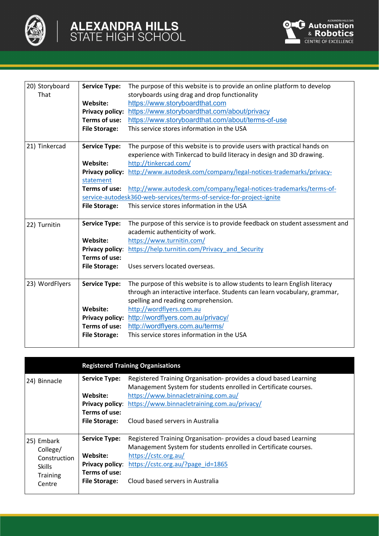

| 20) Storyboard | <b>Service Type:</b>   | The purpose of this website is to provide an online platform to develop      |
|----------------|------------------------|------------------------------------------------------------------------------|
| That           |                        | storyboards using drag and drop functionality                                |
|                | Website:               | https://www.storyboardthat.com                                               |
|                | <b>Privacy policy:</b> | https://www.storyboardthat.com/about/privacy                                 |
|                | Terms of use:          | https://www.storyboardthat.com/about/terms-of-use                            |
|                | <b>File Storage:</b>   | This service stores information in the USA                                   |
|                |                        |                                                                              |
| 21) Tinkercad  | <b>Service Type:</b>   | The purpose of this website is to provide users with practical hands on      |
|                |                        | experience with Tinkercad to build literacy in design and 3D drawing.        |
|                | Website:               | http://tinkercad.com/                                                        |
|                | <b>Privacy policy:</b> | http://www.autodesk.com/company/legal-notices-trademarks/privacy-            |
|                | statement              |                                                                              |
|                | Terms of use:          | http://www.autodesk.com/company/legal-notices-trademarks/terms-of-           |
|                |                        | service-autodesk360-web-services/terms-of-service-for-project-ignite         |
|                | <b>File Storage:</b>   | This service stores information in the USA                                   |
|                |                        |                                                                              |
| 22) Turnitin   | <b>Service Type:</b>   | The purpose of this service is to provide feedback on student assessment and |
|                |                        | academic authenticity of work.                                               |
|                | Website:               | https://www.turnitin.com/                                                    |
|                | Privacy policy:        | https://help.turnitin.com/Privacy and Security                               |
|                | Terms of use:          |                                                                              |
|                | <b>File Storage:</b>   | Uses servers located overseas.                                               |
|                |                        |                                                                              |
| 23) WordFlyers | <b>Service Type:</b>   | The purpose of this website is to allow students to learn English literacy   |
|                |                        | through an interactive interface. Students can learn vocabulary, grammar,    |
|                |                        | spelling and reading comprehension.                                          |
|                | Website:               | http://wordflyers.com.au                                                     |
|                | <b>Privacy policy:</b> | http://wordflyers.com.au/privacy/                                            |
|                | Terms of use:          | http://wordflyers.com.au/terms/                                              |
|                | <b>File Storage:</b>   | This service stores information in the USA                                   |
|                |                        |                                                                              |

|               |                      | <b>Registered Training Organisations</b>                                                                                             |
|---------------|----------------------|--------------------------------------------------------------------------------------------------------------------------------------|
| 24) Binnacle  | <b>Service Type:</b> | Registered Training Organisation- provides a cloud based Learning<br>Management System for students enrolled in Certificate courses. |
|               | Website:             | https://www.binnacletraining.com.au/                                                                                                 |
|               |                      | <b>Privacy policy:</b> https://www.binnacletraining.com.au/privacy/                                                                  |
|               | Terms of use:        |                                                                                                                                      |
|               | <b>File Storage:</b> | Cloud based servers in Australia                                                                                                     |
|               |                      |                                                                                                                                      |
| 25) Embark    | <b>Service Type:</b> | Registered Training Organisation- provides a cloud based Learning                                                                    |
| College/      |                      | Management System for students enrolled in Certificate courses.                                                                      |
| Construction  | Website:             | https://cstc.org.au/                                                                                                                 |
| <b>Skills</b> |                      | <b>Privacy policy:</b> https://cstc.org.au/?page id=1865                                                                             |
| Training      | Terms of use:        |                                                                                                                                      |
| Centre        | <b>File Storage:</b> | Cloud based servers in Australia                                                                                                     |
|               |                      |                                                                                                                                      |